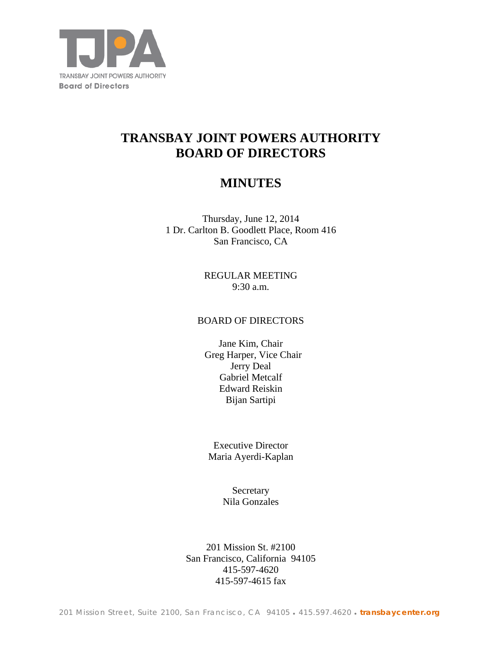

# **TRANSBAY JOINT POWERS AUTHORITY BOARD OF DIRECTORS**

## **MINUTES**

Thursday, June 12, 2014 1 Dr. Carlton B. Goodlett Place, Room 416 San Francisco, CA

> REGULAR MEETING 9:30 a.m.

## BOARD OF DIRECTORS

Jane Kim, Chair Greg Harper, Vice Chair Jerry Deal Gabriel Metcalf Edward Reiskin Bijan Sartipi

Executive Director Maria Ayerdi-Kaplan

> **Secretary** Nila Gonzales

201 Mission St. #2100 San Francisco, California 94105 415-597-4620 415-597-4615 fax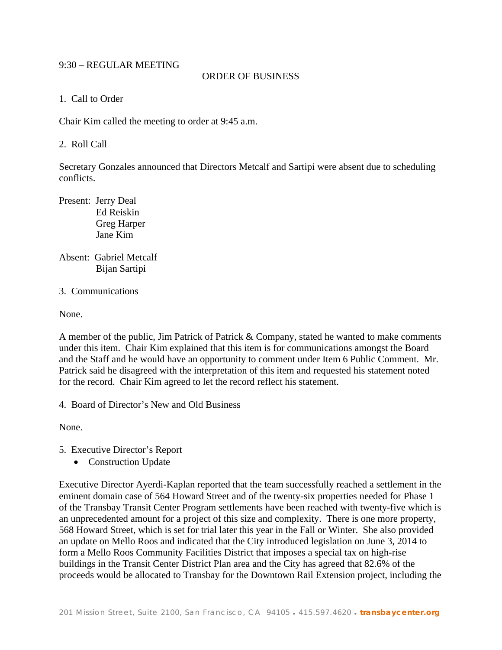## 9:30 – REGULAR MEETING

#### ORDER OF BUSINESS

1. Call to Order

Chair Kim called the meeting to order at 9:45 a.m.

2. Roll Call

Secretary Gonzales announced that Directors Metcalf and Sartipi were absent due to scheduling conflicts.

Present: Jerry Deal Ed Reiskin Greg Harper Jane Kim

- Absent: Gabriel Metcalf Bijan Sartipi
- 3. Communications

None.

A member of the public, Jim Patrick of Patrick & Company, stated he wanted to make comments under this item. Chair Kim explained that this item is for communications amongst the Board and the Staff and he would have an opportunity to comment under Item 6 Public Comment. Mr. Patrick said he disagreed with the interpretation of this item and requested his statement noted for the record. Chair Kim agreed to let the record reflect his statement.

4. Board of Director's New and Old Business

None.

- 5. Executive Director's Report
	- Construction Update

Executive Director Ayerdi-Kaplan reported that the team successfully reached a settlement in the eminent domain case of 564 Howard Street and of the twenty-six properties needed for Phase 1 of the Transbay Transit Center Program settlements have been reached with twenty-five which is an unprecedented amount for a project of this size and complexity. There is one more property, 568 Howard Street, which is set for trial later this year in the Fall or Winter. She also provided an update on Mello Roos and indicated that the City introduced legislation on June 3, 2014 to form a Mello Roos Community Facilities District that imposes a special tax on high-rise buildings in the Transit Center District Plan area and the City has agreed that 82.6% of the proceeds would be allocated to Transbay for the Downtown Rail Extension project, including the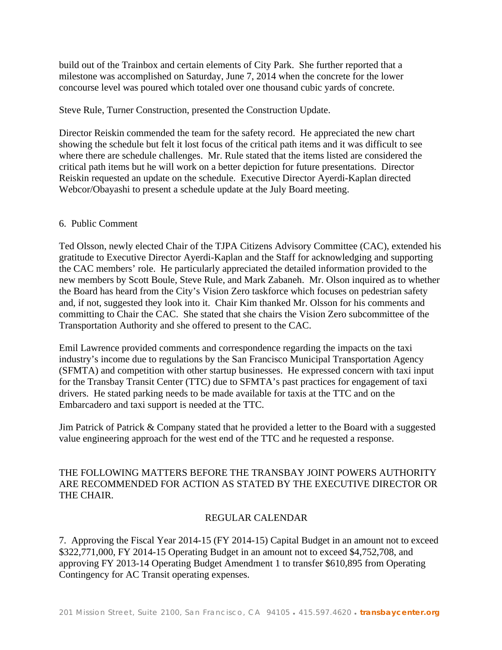build out of the Trainbox and certain elements of City Park. She further reported that a milestone was accomplished on Saturday, June 7, 2014 when the concrete for the lower concourse level was poured which totaled over one thousand cubic yards of concrete.

Steve Rule, Turner Construction, presented the Construction Update.

Director Reiskin commended the team for the safety record. He appreciated the new chart showing the schedule but felt it lost focus of the critical path items and it was difficult to see where there are schedule challenges. Mr. Rule stated that the items listed are considered the critical path items but he will work on a better depiction for future presentations. Director Reiskin requested an update on the schedule. Executive Director Ayerdi-Kaplan directed Webcor/Obayashi to present a schedule update at the July Board meeting.

## 6. Public Comment

Ted Olsson, newly elected Chair of the TJPA Citizens Advisory Committee (CAC), extended his gratitude to Executive Director Ayerdi-Kaplan and the Staff for acknowledging and supporting the CAC members' role. He particularly appreciated the detailed information provided to the new members by Scott Boule, Steve Rule, and Mark Zabaneh. Mr. Olson inquired as to whether the Board has heard from the City's Vision Zero taskforce which focuses on pedestrian safety and, if not, suggested they look into it. Chair Kim thanked Mr. Olsson for his comments and committing to Chair the CAC. She stated that she chairs the Vision Zero subcommittee of the Transportation Authority and she offered to present to the CAC.

Emil Lawrence provided comments and correspondence regarding the impacts on the taxi industry's income due to regulations by the San Francisco Municipal Transportation Agency (SFMTA) and competition with other startup businesses. He expressed concern with taxi input for the Transbay Transit Center (TTC) due to SFMTA's past practices for engagement of taxi drivers. He stated parking needs to be made available for taxis at the TTC and on the Embarcadero and taxi support is needed at the TTC.

Jim Patrick of Patrick & Company stated that he provided a letter to the Board with a suggested value engineering approach for the west end of the TTC and he requested a response.

## THE FOLLOWING MATTERS BEFORE THE TRANSBAY JOINT POWERS AUTHORITY ARE RECOMMENDED FOR ACTION AS STATED BY THE EXECUTIVE DIRECTOR OR THE CHAIR.

## REGULAR CALENDAR

7. Approving the Fiscal Year 2014-15 (FY 2014-15) Capital Budget in an amount not to exceed \$322,771,000, FY 2014-15 Operating Budget in an amount not to exceed \$4,752,708, and approving FY 2013-14 Operating Budget Amendment 1 to transfer \$610,895 from Operating Contingency for AC Transit operating expenses.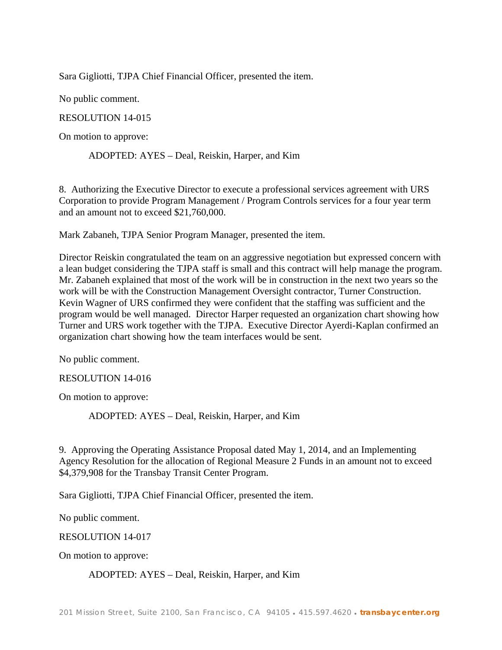Sara Gigliotti, TJPA Chief Financial Officer, presented the item.

No public comment.

RESOLUTION 14-015

On motion to approve:

ADOPTED: AYES – Deal, Reiskin, Harper, and Kim

8. Authorizing the Executive Director to execute a professional services agreement with URS Corporation to provide Program Management / Program Controls services for a four year term and an amount not to exceed \$21,760,000.

Mark Zabaneh, TJPA Senior Program Manager, presented the item.

Director Reiskin congratulated the team on an aggressive negotiation but expressed concern with a lean budget considering the TJPA staff is small and this contract will help manage the program. Mr. Zabaneh explained that most of the work will be in construction in the next two years so the work will be with the Construction Management Oversight contractor, Turner Construction. Kevin Wagner of URS confirmed they were confident that the staffing was sufficient and the program would be well managed. Director Harper requested an organization chart showing how Turner and URS work together with the TJPA. Executive Director Ayerdi-Kaplan confirmed an organization chart showing how the team interfaces would be sent.

No public comment.

RESOLUTION 14-016

On motion to approve:

ADOPTED: AYES – Deal, Reiskin, Harper, and Kim

9. Approving the Operating Assistance Proposal dated May 1, 2014, and an Implementing Agency Resolution for the allocation of Regional Measure 2 Funds in an amount not to exceed \$4,379,908 for the Transbay Transit Center Program.

Sara Gigliotti, TJPA Chief Financial Officer, presented the item.

No public comment.

RESOLUTION 14-017

On motion to approve:

#### ADOPTED: AYES – Deal, Reiskin, Harper, and Kim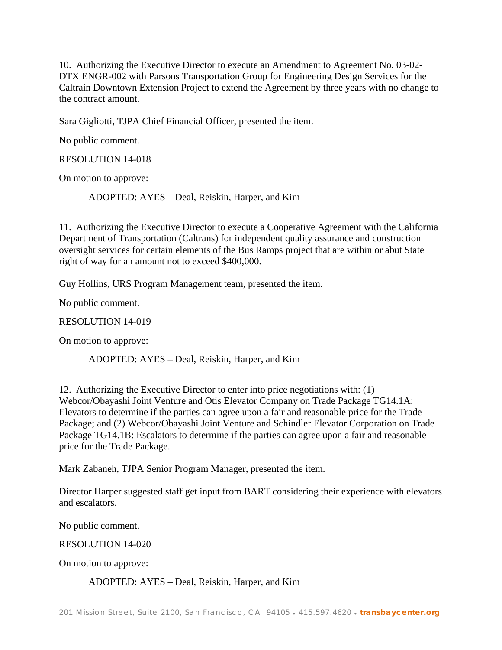10. Authorizing the Executive Director to execute an Amendment to Agreement No. 03-02- DTX ENGR-002 with Parsons Transportation Group for Engineering Design Services for the Caltrain Downtown Extension Project to extend the Agreement by three years with no change to the contract amount.

Sara Gigliotti, TJPA Chief Financial Officer, presented the item.

No public comment.

RESOLUTION 14-018

On motion to approve:

ADOPTED: AYES – Deal, Reiskin, Harper, and Kim

11. Authorizing the Executive Director to execute a Cooperative Agreement with the California Department of Transportation (Caltrans) for independent quality assurance and construction oversight services for certain elements of the Bus Ramps project that are within or abut State right of way for an amount not to exceed \$400,000.

Guy Hollins, URS Program Management team, presented the item.

No public comment.

RESOLUTION 14-019

On motion to approve:

ADOPTED: AYES – Deal, Reiskin, Harper, and Kim

12. Authorizing the Executive Director to enter into price negotiations with: (1) Webcor/Obayashi Joint Venture and Otis Elevator Company on Trade Package TG14.1A: Elevators to determine if the parties can agree upon a fair and reasonable price for the Trade Package; and (2) Webcor/Obayashi Joint Venture and Schindler Elevator Corporation on Trade Package TG14.1B: Escalators to determine if the parties can agree upon a fair and reasonable price for the Trade Package.

Mark Zabaneh, TJPA Senior Program Manager, presented the item.

Director Harper suggested staff get input from BART considering their experience with elevators and escalators.

No public comment.

RESOLUTION 14-020

On motion to approve:

ADOPTED: AYES – Deal, Reiskin, Harper, and Kim